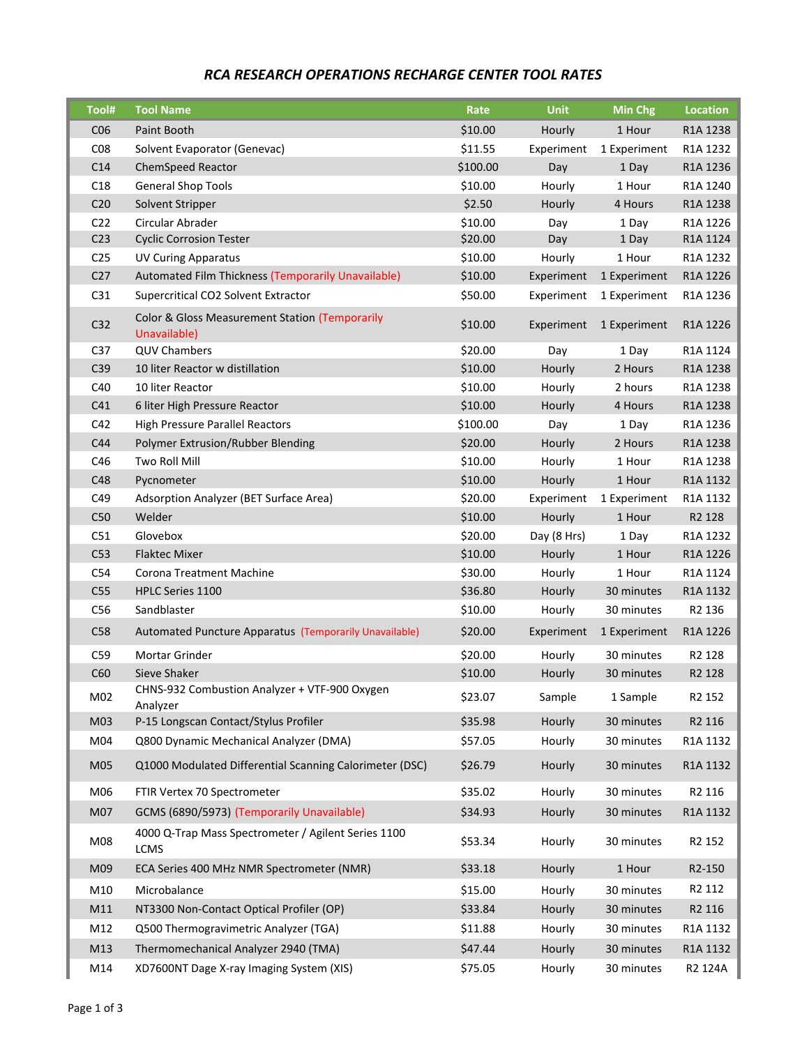## *RCA RESEARCH OPERATIONS RECHARGE CENTER TOOL RATES*

| Tool#           | <b>Tool Name</b>                                                          | Rate     | <b>Unit</b> | <b>Min Chg</b> | <b>Location</b>       |
|-----------------|---------------------------------------------------------------------------|----------|-------------|----------------|-----------------------|
| CO <sub>6</sub> | Paint Booth                                                               | \$10.00  | Hourly      | 1 Hour         | R <sub>1</sub> A 1238 |
| CO8             | Solvent Evaporator (Genevac)                                              | \$11.55  | Experiment  | 1 Experiment   | R1A 1232              |
| C14             | ChemSpeed Reactor                                                         | \$100.00 | Day         | 1 Day          | R1A 1236              |
| C18             | <b>General Shop Tools</b>                                                 | \$10.00  | Hourly      | 1 Hour         | R1A 1240              |
| C <sub>20</sub> | Solvent Stripper                                                          | \$2.50   | Hourly      | 4 Hours        | R1A 1238              |
| C <sub>22</sub> | Circular Abrader                                                          | \$10.00  | Day         | 1 Day          | R1A 1226              |
| C <sub>23</sub> | <b>Cyclic Corrosion Tester</b>                                            | \$20.00  | Day         | 1 Day          | R1A 1124              |
| C <sub>25</sub> | <b>UV Curing Apparatus</b>                                                | \$10.00  | Hourly      | 1 Hour         | R1A 1232              |
| C <sub>27</sub> | Automated Film Thickness (Temporarily Unavailable)                        | \$10.00  | Experiment  | 1 Experiment   | R <sub>1</sub> A 1226 |
| C31             | Supercritical CO2 Solvent Extractor                                       | \$50.00  | Experiment  | 1 Experiment   | R1A 1236              |
| C32             | <b>Color &amp; Gloss Measurement Station (Temporarily</b><br>Unavailable) | \$10.00  | Experiment  | 1 Experiment   | R1A 1226              |
| C <sub>37</sub> | <b>QUV Chambers</b>                                                       | \$20.00  | Day         | 1 Day          | R1A 1124              |
| C39             | 10 liter Reactor w distillation                                           | \$10.00  | Hourly      | 2 Hours        | R1A 1238              |
| C40             | 10 liter Reactor                                                          | \$10.00  | Hourly      | 2 hours        | R1A 1238              |
| C41             | 6 liter High Pressure Reactor                                             | \$10.00  | Hourly      | 4 Hours        | R1A 1238              |
| C42             | <b>High Pressure Parallel Reactors</b>                                    | \$100.00 | Day         | 1 Day          | R1A 1236              |
| C44             | Polymer Extrusion/Rubber Blending                                         | \$20.00  | Hourly      | 2 Hours        | R1A 1238              |
| C46             | Two Roll Mill                                                             | \$10.00  | Hourly      | 1 Hour         | R1A 1238              |
| C48             | Pycnometer                                                                | \$10.00  | Hourly      | 1 Hour         | R1A 1132              |
| C49             | Adsorption Analyzer (BET Surface Area)                                    | \$20.00  | Experiment  | 1 Experiment   | R1A 1132              |
| C50             | Welder                                                                    | \$10.00  | Hourly      | 1 Hour         | R <sub>2</sub> 128    |
| C51             | Glovebox                                                                  | \$20.00  | Day (8 Hrs) | 1 Day          | R1A 1232              |
| C53             | <b>Flaktec Mixer</b>                                                      | \$10.00  | Hourly      | 1 Hour         | R1A 1226              |
| C54             | Corona Treatment Machine                                                  | \$30.00  | Hourly      | 1 Hour         | R1A 1124              |
| C55             | HPLC Series 1100                                                          | \$36.80  | Hourly      | 30 minutes     | R1A 1132              |
| C56             | Sandblaster                                                               | \$10.00  | Hourly      | 30 minutes     | R2 136                |
| C58             | Automated Puncture Apparatus (Temporarily Unavailable)                    | \$20.00  | Experiment  | 1 Experiment   | R1A 1226              |
| C59             | Mortar Grinder                                                            | \$20.00  | Hourly      | 30 minutes     | R <sub>2</sub> 128    |
| C60             | Sieve Shaker                                                              | \$10.00  | Hourly      | 30 minutes     | R2 128                |
| M02             | CHNS-932 Combustion Analyzer + VTF-900 Oxygen<br>Analyzer                 | \$23.07  | Sample      | 1 Sample       | R <sub>2</sub> 152    |
| M03             | P-15 Longscan Contact/Stylus Profiler                                     | \$35.98  | Hourly      | 30 minutes     | R2 116                |
| M04             | Q800 Dynamic Mechanical Analyzer (DMA)                                    | \$57.05  | Hourly      | 30 minutes     | R1A 1132              |
| M05             | Q1000 Modulated Differential Scanning Calorimeter (DSC)                   | \$26.79  | Hourly      | 30 minutes     | R1A 1132              |
| M06             | FTIR Vertex 70 Spectrometer                                               | \$35.02  | Hourly      | 30 minutes     | R2 116                |
| M07             | GCMS (6890/5973) (Temporarily Unavailable)                                | \$34.93  | Hourly      | 30 minutes     | R1A 1132              |
| M08             | 4000 Q-Trap Mass Spectrometer / Agilent Series 1100<br>LCMS               | \$53.34  | Hourly      | 30 minutes     | R <sub>2</sub> 152    |
| M09             | ECA Series 400 MHz NMR Spectrometer (NMR)                                 | \$33.18  | Hourly      | 1 Hour         | R2-150                |
| M10             | Microbalance                                                              | \$15.00  | Hourly      | 30 minutes     | R2 112                |
| M11             | NT3300 Non-Contact Optical Profiler (OP)                                  | \$33.84  | Hourly      | 30 minutes     | R2 116                |
| M12             | Q500 Thermogravimetric Analyzer (TGA)                                     | \$11.88  | Hourly      | 30 minutes     | R1A 1132              |
| M13             | Thermomechanical Analyzer 2940 (TMA)                                      | \$47.44  | Hourly      | 30 minutes     | R1A 1132              |
| M14             | XD7600NT Dage X-ray Imaging System (XIS)                                  | \$75.05  | Hourly      | 30 minutes     | R2 124A               |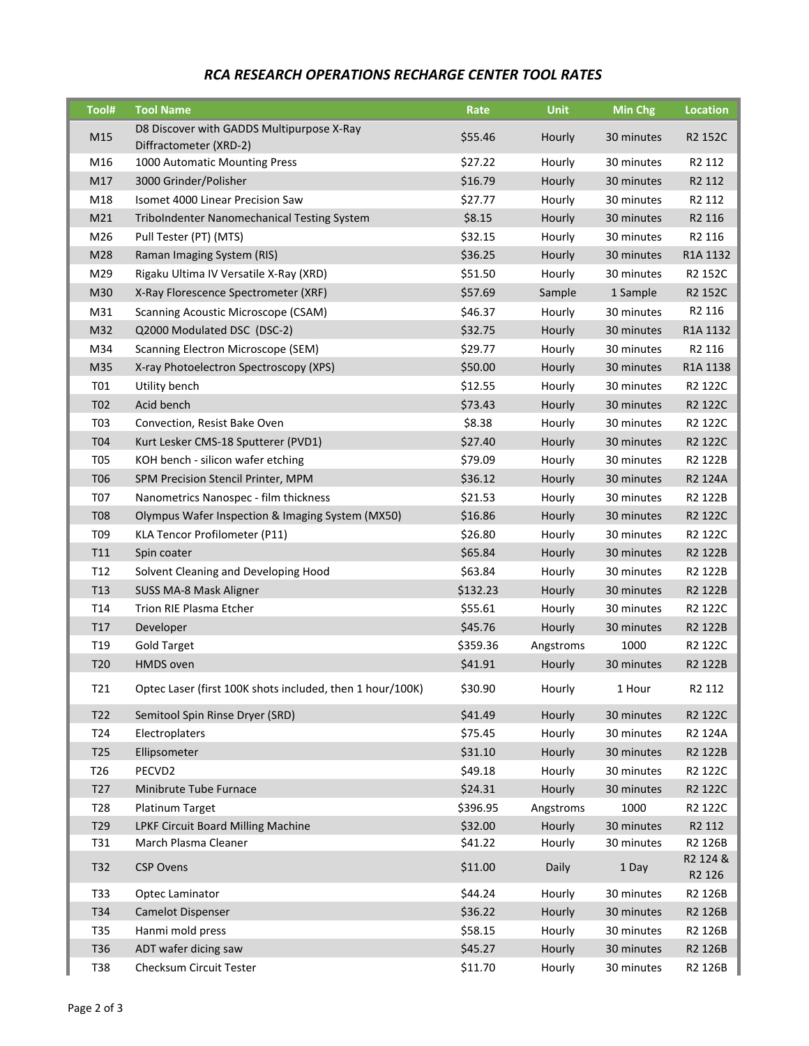## *RCA RESEARCH OPERATIONS RECHARGE CENTER TOOL RATES*

| Tool#           | <b>Tool Name</b>                                          | Rate     | <b>Unit</b> | <b>Min Chg</b> | <b>Location</b>                |
|-----------------|-----------------------------------------------------------|----------|-------------|----------------|--------------------------------|
| M15             | D8 Discover with GADDS Multipurpose X-Ray                 | \$55.46  | Hourly      | 30 minutes     | R2 152C                        |
|                 | Diffractometer (XRD-2)                                    |          |             |                |                                |
| M16             | 1000 Automatic Mounting Press                             | \$27.22  | Hourly      | 30 minutes     | R <sub>2</sub> 11 <sub>2</sub> |
| M17             | 3000 Grinder/Polisher                                     | \$16.79  | Hourly      | 30 minutes     | R2 112                         |
| M18             | Isomet 4000 Linear Precision Saw                          | \$27.77  | Hourly      | 30 minutes     | R <sub>2</sub> 112             |
| M21             | <b>TriboIndenter Nanomechanical Testing System</b>        | \$8.15   | Hourly      | 30 minutes     | R2 116                         |
| M26             | Pull Tester (PT) (MTS)                                    | \$32.15  | Hourly      | 30 minutes     | R2 116                         |
| M28             | Raman Imaging System (RIS)                                | \$36.25  | Hourly      | 30 minutes     | R <sub>1</sub> A 1132          |
| M29             | Rigaku Ultima IV Versatile X-Ray (XRD)                    | \$51.50  | Hourly      | 30 minutes     | R2 152C                        |
| M30             | X-Ray Florescence Spectrometer (XRF)                      | \$57.69  | Sample      | 1 Sample       | R2 152C                        |
| M31             | Scanning Acoustic Microscope (CSAM)                       | \$46.37  | Hourly      | 30 minutes     | R <sub>2</sub> 116             |
| M32             | Q2000 Modulated DSC (DSC-2)                               | \$32.75  | Hourly      | 30 minutes     | R1A 1132                       |
| M34             | Scanning Electron Microscope (SEM)                        | \$29.77  | Hourly      | 30 minutes     | R2 116                         |
| M35             | X-ray Photoelectron Spectroscopy (XPS)                    | \$50.00  | Hourly      | 30 minutes     | R1A 1138                       |
| T01             | Utility bench                                             | \$12.55  | Hourly      | 30 minutes     | R2 122C                        |
| T02             | Acid bench                                                | \$73.43  | Hourly      | 30 minutes     | R2 122C                        |
| T03             | Convection, Resist Bake Oven                              | \$8.38   | Hourly      | 30 minutes     | R2 122C                        |
| T04             | Kurt Lesker CMS-18 Sputterer (PVD1)                       | \$27.40  | Hourly      | 30 minutes     | R2 122C                        |
| T05             | KOH bench - silicon wafer etching                         | \$79.09  | Hourly      | 30 minutes     | R2 122B                        |
| T06             | SPM Precision Stencil Printer, MPM                        | \$36.12  | Hourly      | 30 minutes     | R2 124A                        |
| <b>T07</b>      | Nanometrics Nanospec - film thickness                     | \$21.53  | Hourly      | 30 minutes     | R2 122B                        |
| <b>T08</b>      | Olympus Wafer Inspection & Imaging System (MX50)          | \$16.86  | Hourly      | 30 minutes     | R2 122C                        |
| T09             | KLA Tencor Profilometer (P11)                             | \$26.80  | Hourly      | 30 minutes     | R2 122C                        |
| T11             | Spin coater                                               | \$65.84  | Hourly      | 30 minutes     | R2 122B                        |
| T <sub>12</sub> | Solvent Cleaning and Developing Hood                      | \$63.84  | Hourly      | 30 minutes     | R2 122B                        |
| T <sub>13</sub> | SUSS MA-8 Mask Aligner                                    | \$132.23 | Hourly      | 30 minutes     | R2 122B                        |
| T14             | Trion RIE Plasma Etcher                                   | \$55.61  | Hourly      | 30 minutes     | R2 122C                        |
| T17             | Developer                                                 | \$45.76  | Hourly      | 30 minutes     | R2 122B                        |
| T19             | <b>Gold Target</b>                                        | \$359.36 | Angstroms   | 1000           | R2 122C                        |
| T <sub>20</sub> | HMDS oven                                                 | \$41.91  | Hourly      | 30 minutes     | R2 122B                        |
| T21             | Optec Laser (first 100K shots included, then 1 hour/100K) | \$30.90  | Hourly      | 1 Hour         | R2 112                         |
| T <sub>22</sub> | Semitool Spin Rinse Dryer (SRD)                           | \$41.49  | Hourly      | 30 minutes     | R2 122C                        |
| T24             | Electroplaters                                            | \$75.45  | Hourly      | 30 minutes     | R2 124A                        |
| T25             | Ellipsometer                                              | \$31.10  | Hourly      | 30 minutes     | R2 122B                        |
| T26             | PECVD2                                                    | \$49.18  | Hourly      | 30 minutes     | R2 122C                        |
| T <sub>27</sub> | Minibrute Tube Furnace                                    | \$24.31  | Hourly      | 30 minutes     | R2 122C                        |
| T <sub>28</sub> | Platinum Target                                           | \$396.95 | Angstroms   | 1000           | R2 122C                        |
| T29             | LPKF Circuit Board Milling Machine                        | \$32.00  | Hourly      | 30 minutes     | R2 112                         |
| T31             | March Plasma Cleaner                                      | \$41.22  | Hourly      | 30 minutes     | R2 126B                        |
| T32             | <b>CSP Ovens</b>                                          | \$11.00  | Daily       | 1 Day          | R2 124 &<br>R2 126             |
| T33             | Optec Laminator                                           | \$44.24  | Hourly      | 30 minutes     | R2 126B                        |
| T34             | <b>Camelot Dispenser</b>                                  | \$36.22  | Hourly      | 30 minutes     | R2 126B                        |
| T35             | Hanmi mold press                                          | \$58.15  | Hourly      | 30 minutes     | R2 126B                        |
| T36             | ADT wafer dicing saw                                      | \$45.27  | Hourly      | 30 minutes     | R2 126B                        |
| T38             | Checksum Circuit Tester                                   | \$11.70  | Hourly      | 30 minutes     | R2 126B                        |